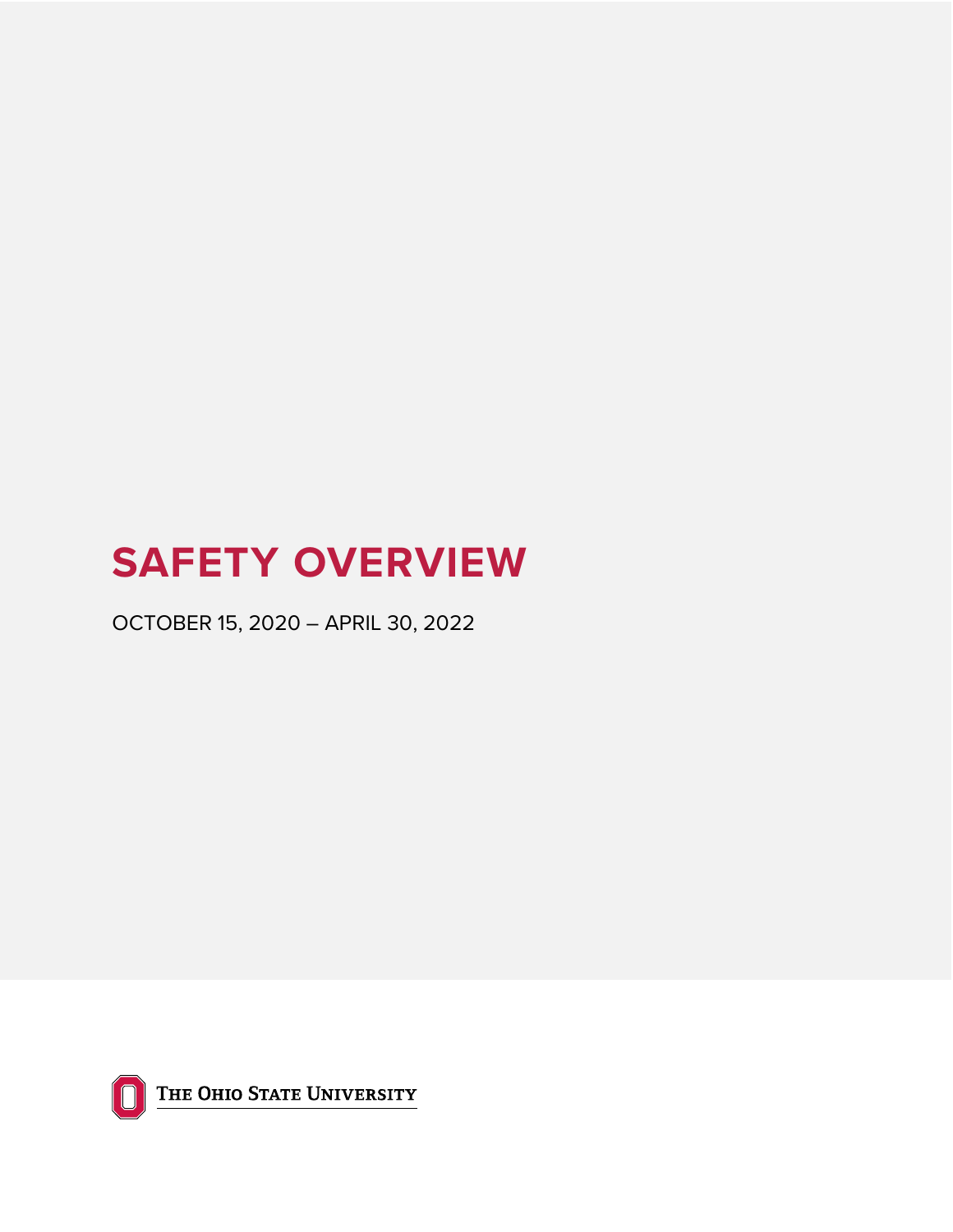# **SAFETY OVERVIEW**

OCTOBER 15, 2020 – APRIL 30, 2022



THE OHIO STATE UNIVERSITY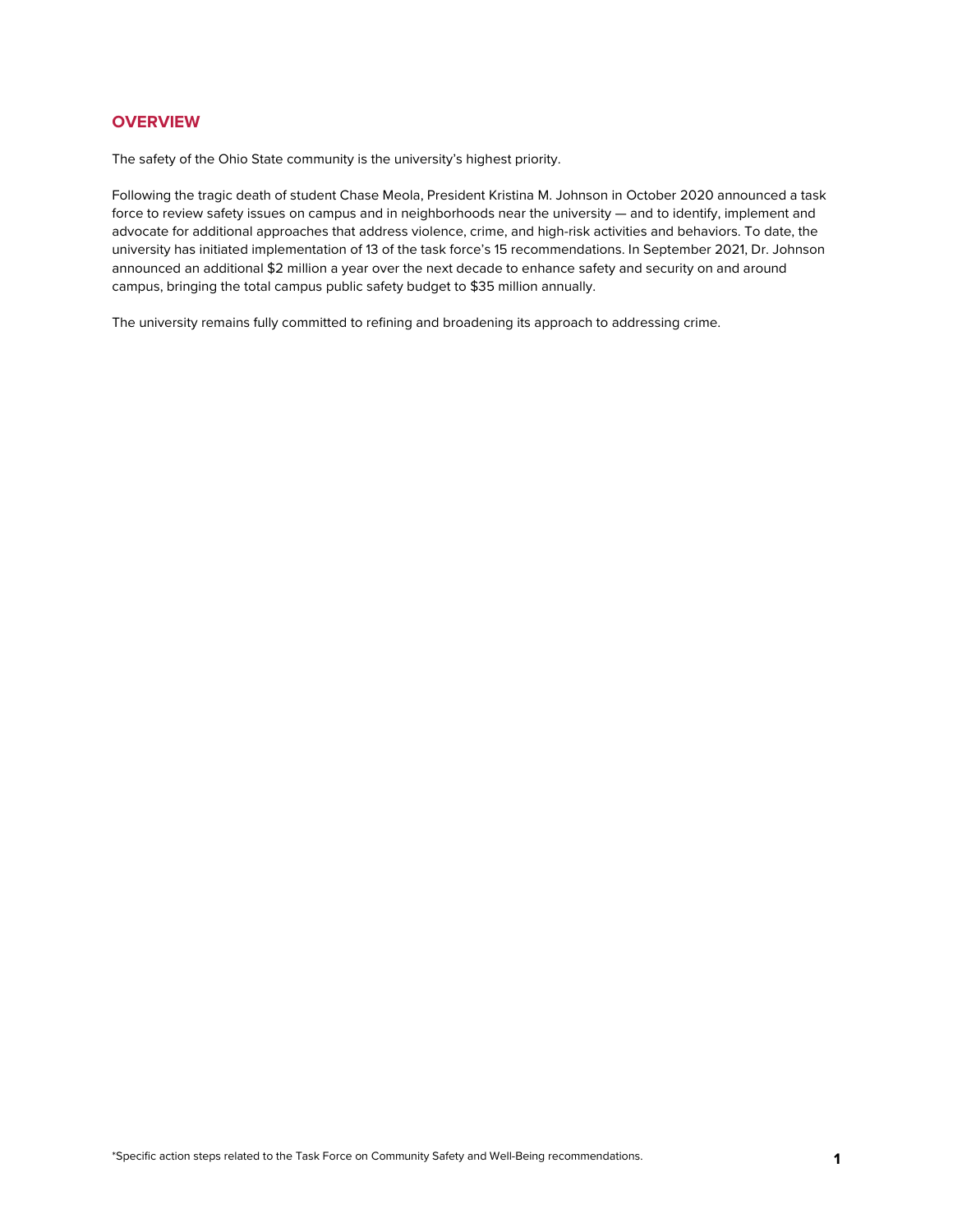## **OVERVIEW**

The safety of the Ohio State community is the university's highest priority.

Following the tragic death of student Chase Meola, President Kristina M. Johnson in October 2020 announced a task force to review safety issues on campus and in neighborhoods near the university — and to identify, implement and advocate for additional approaches that address violence, crime, and high-risk activities and behaviors. To date, the university has initiated implementation of 13 of the task force's 15 recommendations. In September 2021, Dr. Johnson announced an additional \$2 million a year over the next decade to enhance safety and security on and around campus, bringing the total campus public safety budget to \$35 million annually.

The university remains fully committed to refining and broadening its approach to addressing crime.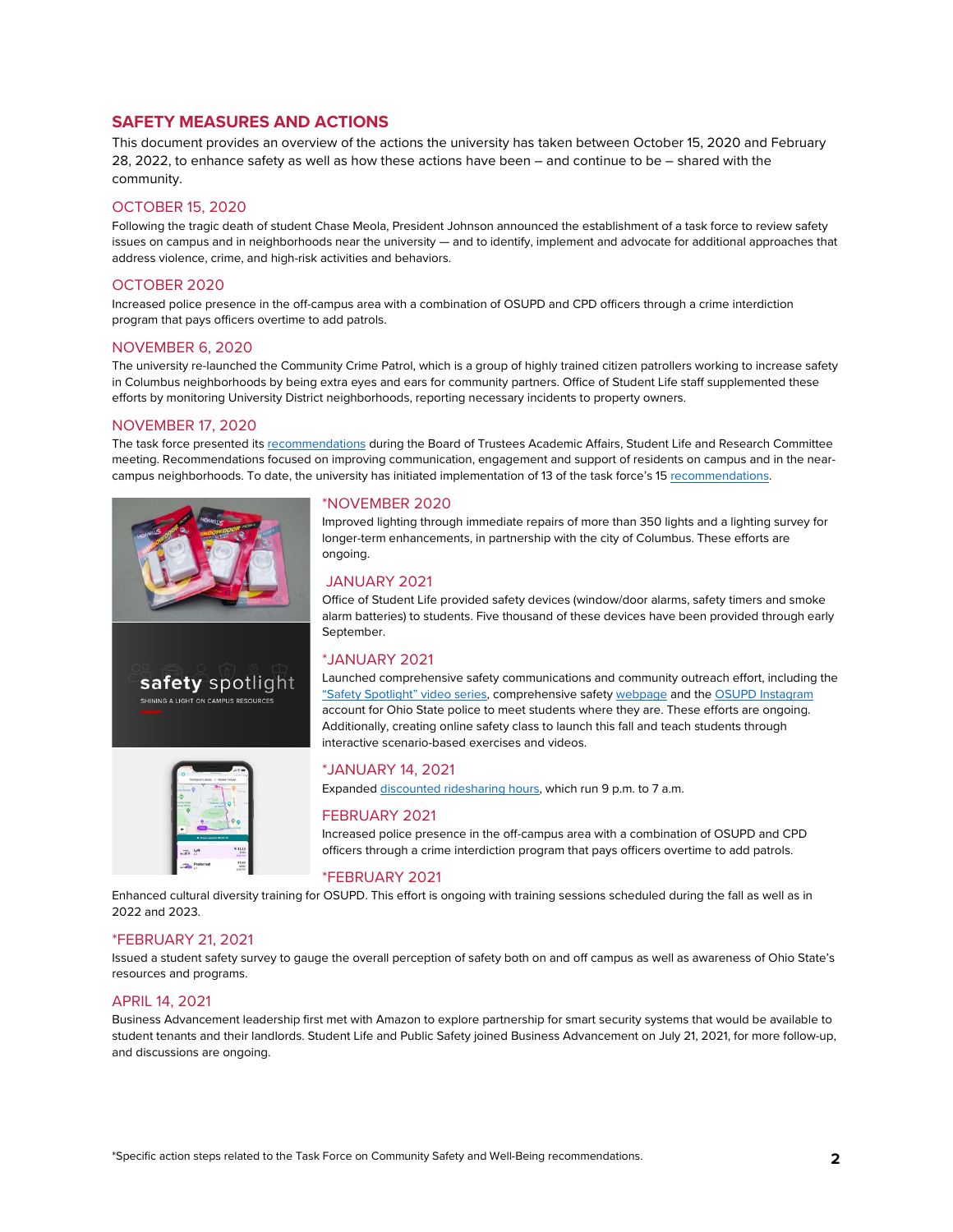## **SAFETY MEASURES AND ACTIONS**

This document provides an overview of the actions the university has taken between October 15, 2020 and February 28, 2022, to enhance safety as well as how these actions have been – and continue to be – shared with the community.

## OCTOBER 15, 2020

Following the tragic death of student Chase Meola, President Johnson announced the establishment of a task force to review safety issues on campus and in neighborhoods near the university — and to identify, implement and advocate for additional approaches that address violence, crime, and high-risk activities and behaviors.

## OCTOBER 2020

Increased police presence in the off-campus area with a combination of OSUPD and CPD officers through a crime interdiction program that pays officers overtime to add patrols.

## NOVEMBER 6, 2020

The university re-launched the Community Crime Patrol, which is a group of highly trained citizen patrollers working to increase safety in Columbus neighborhoods by being extra eyes and ears for community partners. Office of Student Life staff supplemented these efforts by monitoring University District neighborhoods, reporting necessary incidents to property owners.

## NOVEMBER 17, 2020

The task force presented its [recommendations](https://news.osu.edu/ohio-state-task-force-on-community-safety-and-well-being-shares-recommendations/) during the Board of Trustees Academic Affairs, Student Life and Research Committee meeting. Recommendations focused on improving communication, engagement and support of residents on campus and in the nearcampus neighborhoods. To date, the university has initiated implementation of 13 of the task force's 15 [recommendations.](https://ap.osu.edu/sites/default/files/taskforcerecommendations.pdf) 



## \*NOVEMBER 2020

Improved lighting through immediate repairs of more than 350 lights and a lighting survey for longer-term enhancements, in partnership with the city of Columbus. These efforts are ongoing.

## JANUARY 2021

Office of Student Life provided safety devices (window/door alarms, safety timers and smoke alarm batteries) to students. Five thousand of these devices have been provided through early September.

## \*JANUARY 2021

Launched comprehensive safety communications and community outreach effort, including the ["Safety Spotlight" video series,](https://dps.osu.edu/safety-spotlight) comprehensive safety [webpage](https://dps.osu.edu/resources) and th[e OSUPD Instagram](https://www.instagram.com/osupolice/) account for Ohio State police to meet students where they are. These efforts are ongoing. Additionally, creating online safety class to launch this fall and teach students through interactive scenario-based exercises and videos.



Expande[d discounted ridesharing hours,](https://ttm.osu.edu/ride-smart?utm_source=sfmc&utm_medium=email&utm_campaign=ucomm_faculty-staff-student-awareness_fy22_back-to-campus-omnibus&sfmc_id=42956217) which run 9 p.m. to 7 a.m.

## FEBRUARY 2021

Increased police presence in the off-campus area with a combination of OSUPD and CPD officers through a crime interdiction program that pays officers overtime to add patrols.

## \*FEBRUARY 2021

Enhanced cultural diversity training for OSUPD. This effort is ongoing with training sessions scheduled during the fall as well as in 2022 and 2023.

## \*FEBRUARY 21, 2021

Issued a student safety survey to gauge the overall perception of safety both on and off campus as well as awareness of Ohio State's resources and programs.

## APRIL 14, 2021

Business Advancement leadership first met with Amazon to explore partnership for smart security systems that would be available to student tenants and their landlords. Student Life and Public Safety joined Business Advancement on July 21, 2021, for more follow-up, and discussions are ongoing.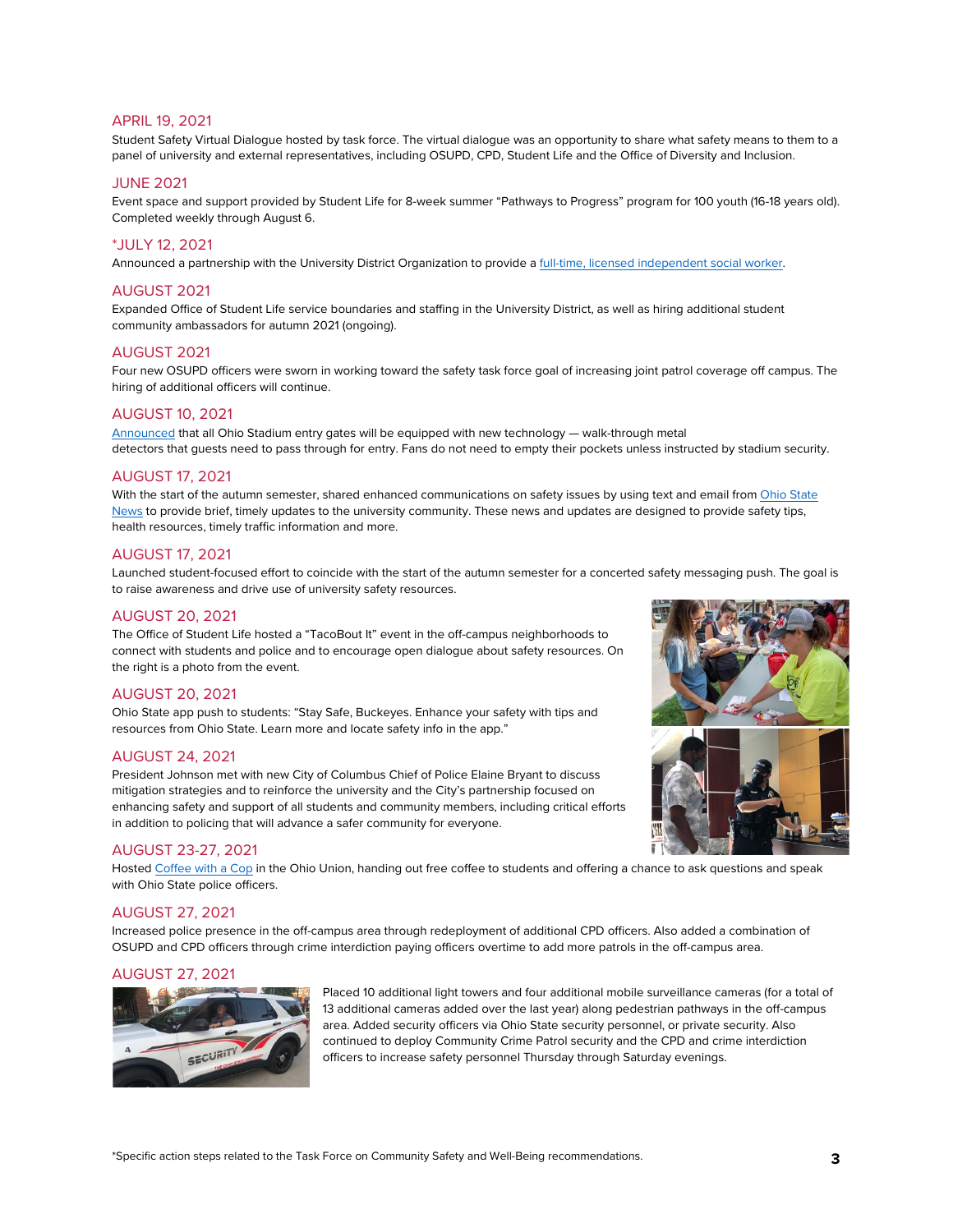## APRIL 19, 2021

Student Safety Virtual Dialogue hosted by task force. The virtual dialogue was an opportunity to share what safety means to them to a panel of university and external representatives, including OSUPD, CPD, Student Life and the Office of Diversity and Inclusion.

## JUNE 2021

Event space and support provided by Student Life for 8-week summer "Pathways to Progress" program for 100 youth (16-18 years old). Completed weekly through August 6.

## \*JULY 12, 2021

Announced a partnership with the University District Organization to provide [a full-time, licensed independent](https://news.osu.edu/ohio-state-university-district-organization-partner-to-add-full-time-social-worker-to-off-campus-area/?utm_source=sfmc&utm_medium=email&utm_campaign=ucomm_faculty-staff-student-awareness_fy22_back-to-campus-omnibus&sfmc_id=42956217) social worker.

## AUGUST 2021

Expanded Office of Student Life service boundaries and staffing in the University District, as well as hiring additional student community ambassadors for autumn 2021 (ongoing).

## AUGUST 2021

Four new OSUPD officers were sworn in working toward the safety task force goal of increasing joint patrol coverage off campus. The hiring of additional officers will continue.

## AUGUST 10, 2021

[Announced](https://news.osu.edu/ohio-state-announces-new-technologies-in-use-at-ohio-stadium-this-season/) that all Ohio Stadium entry gates will be equipped with new technology — walk-through metal detectors that guests need to pass through for entry. Fans do not need to empty their pockets unless instructed by stadium security.

## AUGUST 17, 2021

With the start of the autumn semester, shared enhanced communications on safety issues by using text and email from Ohio State [News](https://news.osu.edu/ohio-state-announces-return-to-campus-protocols-safety-details/) to provide brief, timely updates to the university community. These news and updates are designed to provide safety tips, health resources, timely traffic information and more.

## AUGUST 17, 2021

Launched student-focused effort to coincide with the start of the autumn semester for a concerted safety messaging push. The goal is to raise awareness and drive use of university safety resources.

## AUGUST 20, 2021

The Office of Student Life hosted a "TacoBout It" event in the off-campus neighborhoods to connect with students and police and to encourage open dialogue about safety resources. On the right is a photo from the event.

#### AUGUST 20, 2021

Ohio State app push to students: "Stay Safe, Buckeyes. Enhance your safety with tips and resources from Ohio State. Learn more and locate safety info in the app."

## AUGUST 24, 2021

President Johnson met with new City of Columbus Chief of Police Elaine Bryant to discuss mitigation strategies and to reinforce the university and the City's partnership focused on enhancing safety and support of all students and community members, including critical efforts in addition to policing that will advance a safer community for everyone.

## AUGUST 23-27, 2021

Hoste[d Coffee with a Cop](https://news.osu.edu/ohio-state-announces-return-to-campus-protocols-safety-details/) in the Ohio Union, handing out free coffee to students and offering a chance to ask questions and speak with Ohio State police officers.

#### AUGUST 27, 2021

Increased police presence in the off-campus area through redeployment of additional CPD officers. Also added a combination of OSUPD and CPD officers through crime interdiction paying officers overtime to add more patrols in the off-campus area.

#### AUGUST 27, 2021



Placed 10 additional light towers and four additional mobile surveillance cameras (for a total of 13 additional cameras added over the last year) along pedestrian pathways in the off-campus area. Added security officers via Ohio State security personnel, or private security. Also continued to deploy Community Crime Patrol security and the CPD and crime interdiction officers to increase safety personnel Thursday through Saturday evenings.

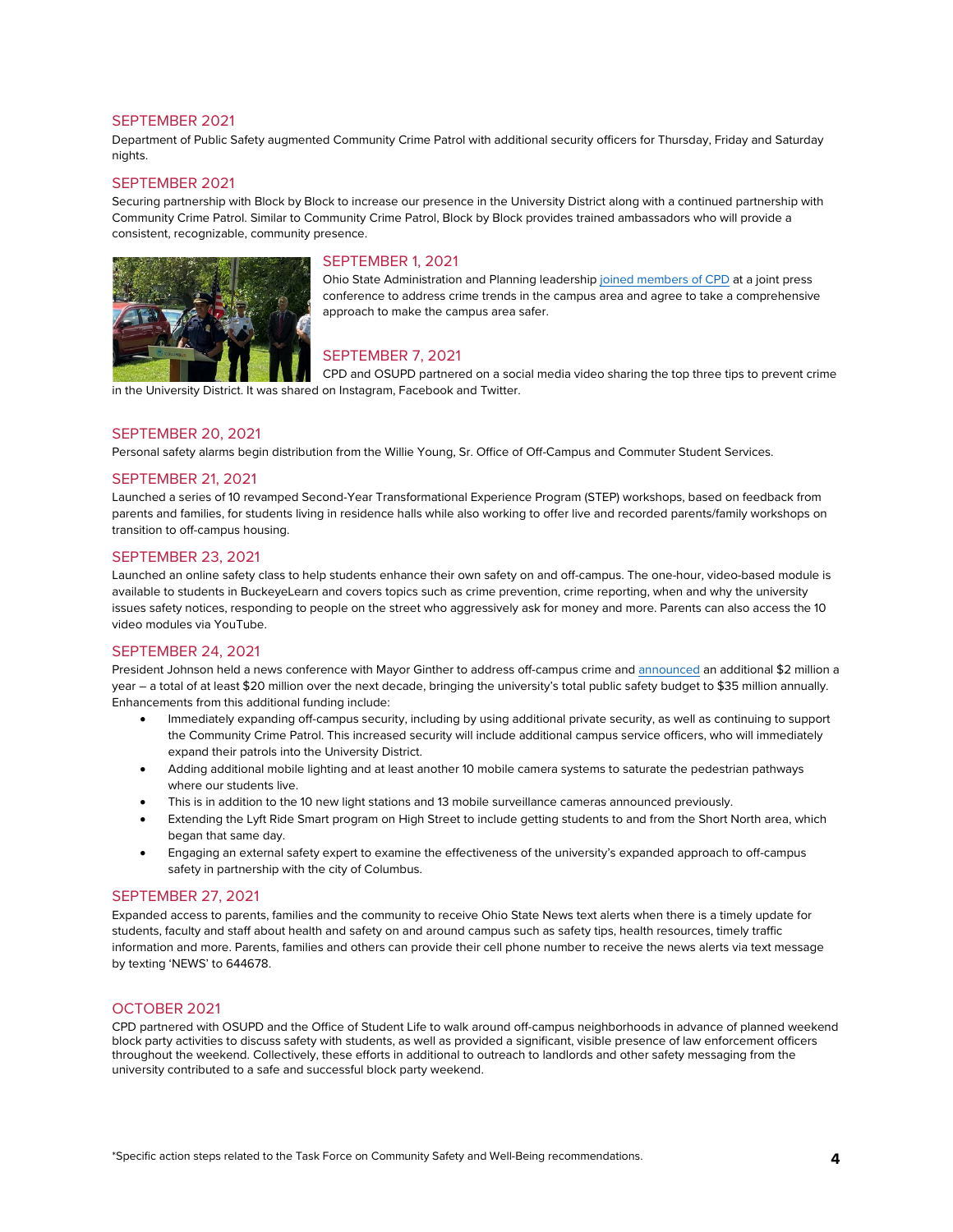## SEPTEMBER 2021

Department of Public Safety augmented Community Crime Patrol with additional security officers for Thursday, Friday and Saturday nights.

## SEPTEMBER 2021

Securing partnership with Block by Block to increase our presence in the University District along with a continued partnership with Community Crime Patrol. Similar to Community Crime Patrol, Block by Block provides trained ambassadors who will provide a consistent, recognizable, community presence.



## SEPTEMBER 1, 2021

Ohio State Administration and Planning leadershi[p joined members of CPD](https://news.osu.edu/university-leaders-and-columbus-police-discuss-off-campus-safety/) at a joint press conference to address crime trends in the campus area and agree to take a comprehensive approach to make the campus area safer.

## SEPTEMBER 7, 2021

CPD and OSUPD partnered on a social media video sharing the top three tips to prevent crime in the University District. It was shared on Instagram, Facebook and Twitter.

## SEPTEMBER 20, 2021

Personal safety alarms begin distribution from the Willie Young, Sr. Office of Off-Campus and Commuter Student Services.

## SEPTEMBER 21, 2021

Launched a series of 10 revamped Second-Year Transformational Experience Program (STEP) workshops, based on feedback from parents and families, for students living in residence halls while also working to offer live and recorded parents/family workshops on transition to off-campus housing.

## SEPTEMBER 23, 2021

Launched an online safety class to help students enhance their own safety on and off-campus. The one-hour, video-based module is available to students in BuckeyeLearn and covers topics such as crime prevention, crime reporting, when and why the university issues safety notices, responding to people on the street who aggressively ask for money and more. Parents can also access the 10 video modules via YouTube.

## SEPTEMBER 24, 2021

President Johnson held a news conference with Mayor Ginther to address off-campus crime an[d announced](https://president.osu.edu/story/safety-enhancements-announcement) an additional \$2 million a year – a total of at least \$20 million over the next decade, bringing the university's total public safety budget to \$35 million annually. Enhancements from this additional funding include:

- Immediately expanding off-campus security, including by using additional private security, as well as continuing to support the Community Crime Patrol. This increased security will include additional campus service officers, who will immediately expand their patrols into the University District.
- Adding additional mobile lighting and at least another 10 mobile camera systems to saturate the pedestrian pathways where our students live.
- This is in addition to the 10 new light stations and 13 mobile surveillance cameras announced previously.
- Extending the Lyft Ride Smart program on High Street to include getting students to and from the Short North area, which began that same day.
- Engaging an external safety expert to examine the effectiveness of the university's expanded approach to off-campus safety in partnership with the city of Columbus.

## SEPTEMBER 27, 2021

Expanded access to parents, families and the community to receive Ohio State News text alerts when there is a timely update for students, faculty and staff about health and safety on and around campus such as safety tips, health resources, timely traffic information and more. Parents, families and others can provide their cell phone number to receive the news alerts via text message by texting 'NEWS' to 644678.

#### OCTOBER 2021

CPD partnered with OSUPD and the Office of Student Life to walk around off-campus neighborhoods in advance of planned weekend block party activities to discuss safety with students, as well as provided a significant, visible presence of law enforcement officers throughout the weekend. Collectively, these efforts in additional to outreach to landlords and other safety messaging from the university contributed to a safe and successful block party weekend.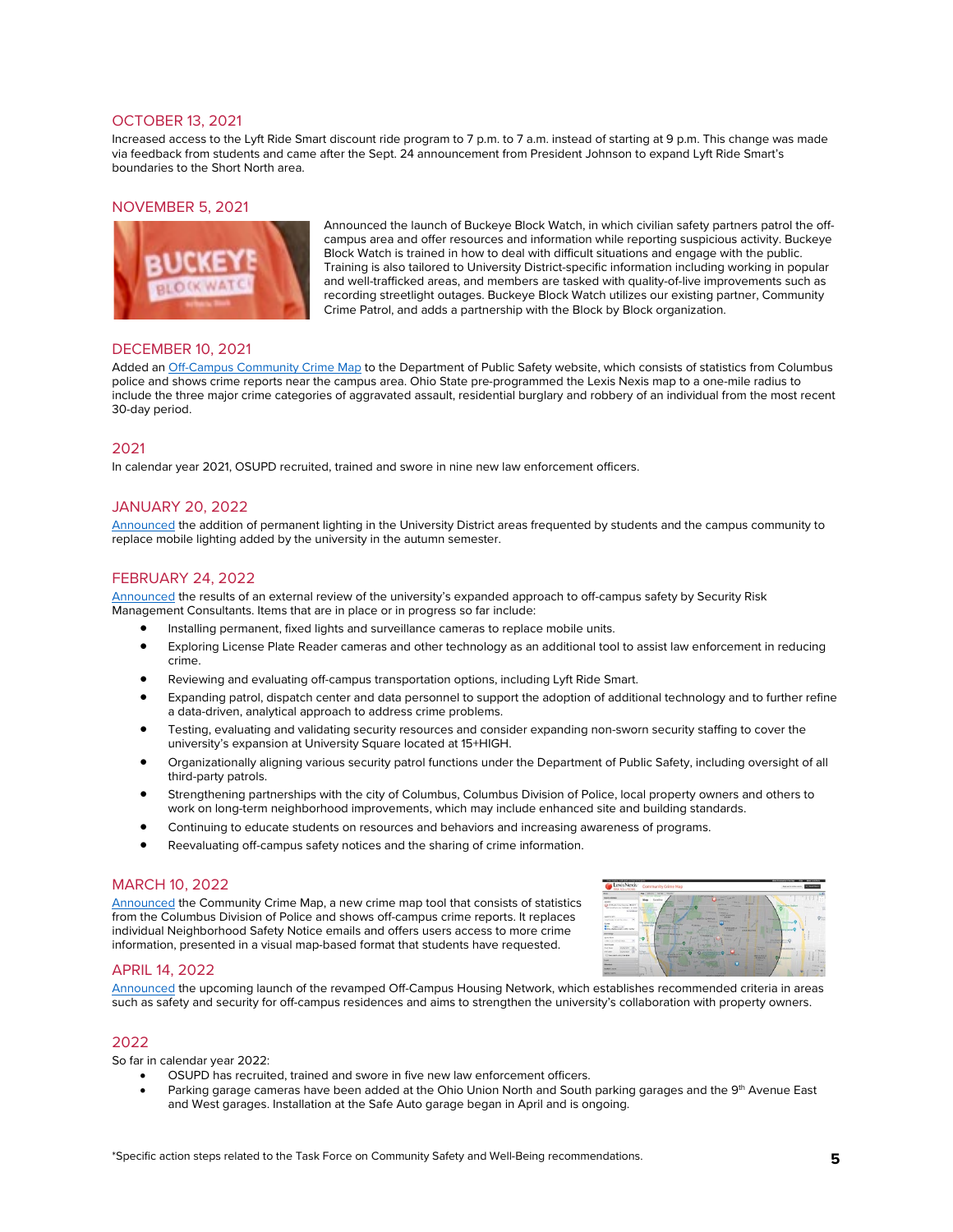## OCTOBER 13, 2021

Increased access to the Lyft Ride Smart discount ride program to 7 p.m. to 7 a.m. instead of starting at 9 p.m. This change was made via feedback from students and came after the Sept. 24 announcement from President Johnson to expand Lyft Ride Smart's boundaries to the Short North area.

## NOVEMBER 5, 2021



Announced the launch of Buckeye Block Watch, in which civilian safety partners patrol the offcampus area and offer resources and information while reporting suspicious activity. Buckeye Block Watch is trained in how to deal with difficult situations and engage with the public. Training is also tailored to University District-specific information including working in popular and well-trafficked areas, and members are tasked with quality-of-live improvements such as recording streetlight outages. Buckeye Block Watch utilizes our existing partner, Community Crime Patrol, and adds a partnership with the Block by Block organization.

## DECEMBER 10, 2021

Added a[n Off-Campus Community Crime Map](https://dps.osu.edu/daily-crime-log) to the Department of Public Safety website, which consists of statistics from Columbus police and shows crime reports near the campus area. Ohio State pre-programmed the Lexis Nexis map to a one-mile radius to include the three major crime categories of aggravated assault, residential burglary and robbery of an individual from the most recent 30-day period.

## 2021

In calendar year 2021, OSUPD recruited, trained and swore in nine new law enforcement officers.

## JANUARY 20, 2022

[Announced](https://news.osu.edu/ohio-state-news-alert-new-permanent-lighting-coming-to-university-district/) the addition of permanent lighting in the University District areas frequented by students and the campus community to replace mobile lighting added by the university in the autumn semester.

## FEBRUARY 24, 2022

[Announced](https://news.osu.edu/external-safety-expert-reviews-off-campus-safety-efforts/) the results of an external review of the university's expanded approach to off-campus safety by Security Risk Management Consultants. Items that are in place or in progress so far include:

- Installing permanent, fixed lights and surveillance cameras to replace mobile units.
- Exploring License Plate Reader cameras and other technology as an additional tool to assist law enforcement in reducing crime.
- Reviewing and evaluating off-campus transportation options, including Lyft Ride Smart.
- Expanding patrol, dispatch center and data personnel to support the adoption of additional technology and to further refine a data-driven, analytical approach to address crime problems.
- Testing, evaluating and validating security resources and consider expanding non-sworn security staffing to cover the university's expansion at University Square located at 15+HIGH.
- Organizationally aligning various security patrol functions under the Department of Public Safety, including oversight of all third-party patrols.
- Strengthening partnerships with the city of Columbus, Columbus Division of Police, local property owners and others to work on long-term neighborhood improvements, which may include enhanced site and building standards.
- Continuing to educate students on resources and behaviors and increasing awareness of programs.
- Reevaluating off-campus safety notices and the sharing of crime information.

## MARCH 10, 2022

[Announced](https://news.osu.edu/ohio-state-introduces-new-community-crime-map/) the Community Crime Map, a new crime map tool that consists of statistics from the Columbus Division of Police and shows off-campus crime reports. It replaces individual Neighborhood Safety Notice emails and offers users access to more crime information, presented in a visual map-based format that students have requested.



## APRIL 14, 2022

[Announced](https://news.osu.edu/ohio-state-news-alert-off-campus-housing-network-to-launch-in-the-fall/) the upcoming launch of the revamped Off-Campus Housing Network, which establishes recommended criteria in areas such as safety and security for off-campus residences and aims to strengthen the university's collaboration with property owners.

## 2022

So far in calendar year 2022:

- OSUPD has recruited, trained and swore in five new law enforcement officers.
- Parking garage cameras have been added at the Ohio Union North and South parking garages and the 9<sup>th</sup> Avenue East and West garages. Installation at the Safe Auto garage began in April and is ongoing.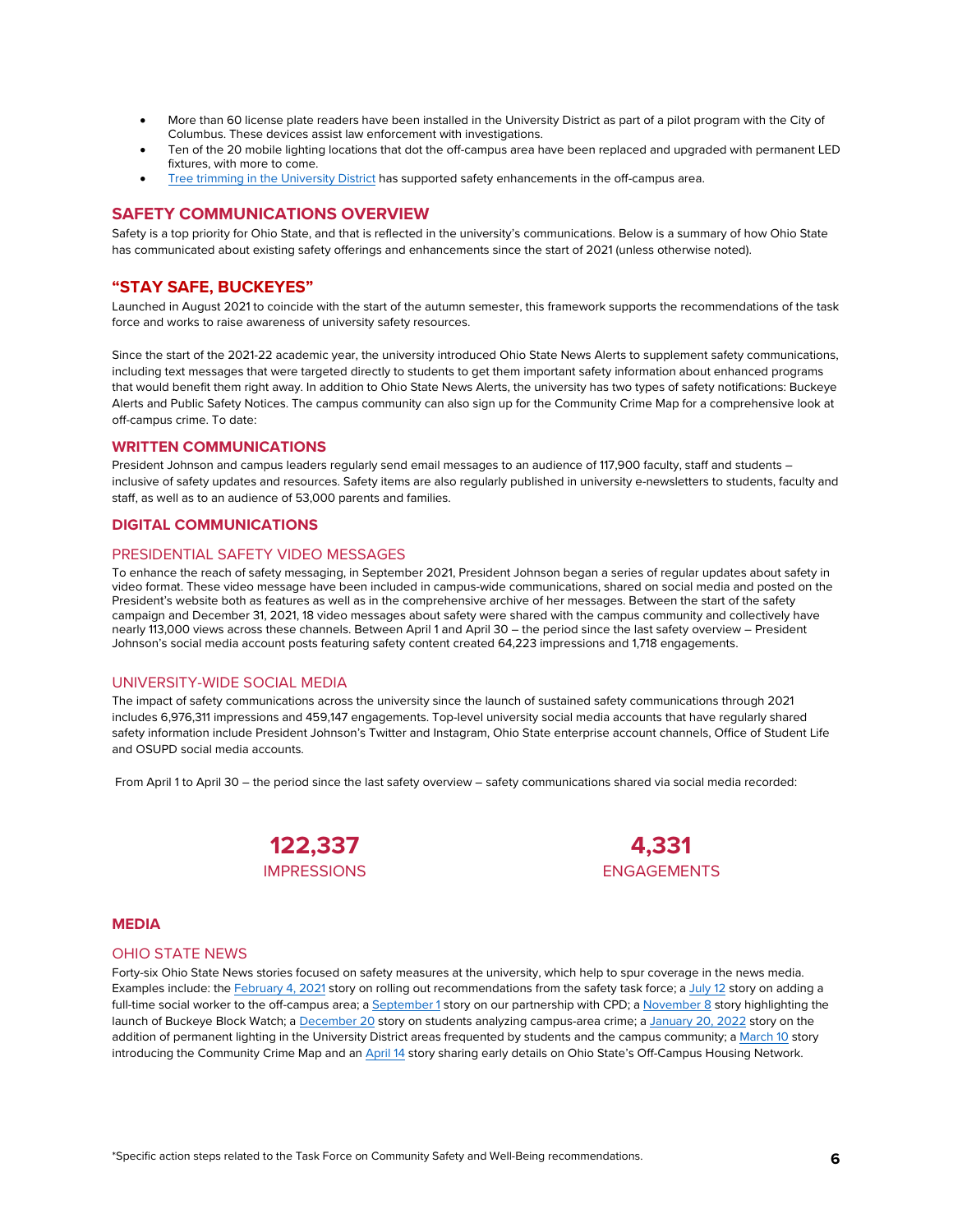- More than 60 license plate readers have been installed in the University District as part of a pilot program with the City of Columbus. These devices assist law enforcement with investigations.
- Ten of the 20 mobile lighting locations that dot the off-campus area have been replaced and upgraded with permanent LED fixtures, with more to come.
- [Tree trimming in the University District](https://offcampus.osu.edu/resources/off-campus-resources/off-campus-notifications/) has supported safety enhancements in the off-campus area.

## **SAFETY COMMUNICATIONS OVERVIEW**

Safety is a top priority for Ohio State, and that is reflected in the university's communications. Below is a summary of how Ohio State has communicated about existing safety offerings and enhancements since the start of 2021 (unless otherwise noted).

## **"STAY SAFE, BUCKEYES"**

Launched in August 2021 to coincide with the start of the autumn semester, this framework supports the recommendations of the task force and works to raise awareness of university safety resources.

Since the start of the 2021-22 academic year, the university introduced Ohio State News Alerts to supplement safety communications, including text messages that were targeted directly to students to get them important safety information about enhanced programs that would benefit them right away. In addition to Ohio State News Alerts, the university has two types of safety notifications: Buckeye Alerts and Public Safety Notices. The campus community can also sign up for the Community Crime Map for a comprehensive look at off-campus crime. To date:

## **WRITTEN COMMUNICATIONS**

President Johnson and campus leaders regularly send email messages to an audience of 117,900 faculty, staff and students – inclusive of safety updates and resources. Safety items are also regularly published in university e-newsletters to students, faculty and staff, as well as to an audience of 53,000 parents and families.

## **DIGITAL COMMUNICATIONS**

## PRESIDENTIAL SAFETY VIDEO MESSAGES

To enhance the reach of safety messaging, in September 2021, President Johnson began a series of regular updates about safety in video format. These video message have been included in campus-wide communications, shared on social media and posted on the President's website both as features as well as in the comprehensive archive of her messages. Between the start of the safety campaign and December 31, 2021, 18 video messages about safety were shared with the campus community and collectively have nearly 113,000 views across these channels. Between April 1 and April 30 – the period since the last safety overview – President Johnson's social media account posts featuring safety content created 64,223 impressions and 1,718 engagements.

## UNIVERSITY-WIDE SOCIAL MEDIA

The impact of safety communications across the university since the launch of sustained safety communications through 2021 includes 6,976,311 impressions and 459,147 engagements. Top-level university social media accounts that have regularly shared safety information include President Johnson's Twitter and Instagram, Ohio State enterprise account channels, Office of Student Life and OSUPD social media accounts.

From April 1 to April 30 – the period since the last safety overview – safety communications shared via social media recorded:





## **MEDIA**

#### OHIO STATE NEWS

Forty-six Ohio State News stories focused on safety measures at the university, which help to spur coverage in the news media. Examples include: th[e February 4,](https://news.osu.edu/safety-task-force-recommendations-roll-out-in-new-semester/) 2021 story on rolling out recommendations from the safety task force; a [July 12](https://news.osu.edu/ohio-state-university-district-organization-partner-to-add-full-time-social-worker-to-off-campus-area/) story on adding a full-time social worker to the off-campus area; [a September 1](https://news.osu.edu/university-leaders-and-columbus-police-discuss-off-campus-safety/) story on our partnership with CPD; [a November 8](https://news.osu.edu/students-residents-turn-out-to-support-buckeye-block-watch-launch/) story highlighting the launch of Buckeye Block Watch; [a December 20](https://news.osu.edu/students-turn-to-research-project-to-analyze-campus-area-crime/) story on students analyzing campus-area crime; [a January 20, 2022](https://news.osu.edu/ohio-state-news-alert-new-permanent-lighting-coming-to-university-district/) story on the addition of permanent lighting in the University District areas frequented by students and the campus community; [a March 10](https://news.osu.edu/ohio-state-introduces-new-community-crime-map/) story introducing the Community Crime Map and an [April](https://news.osu.edu/ohio-state-news-alert-off-campus-housing-network-to-launch-in-the-fall/) 14 story sharing early details on Ohio State's Off-Campus Housing Network.